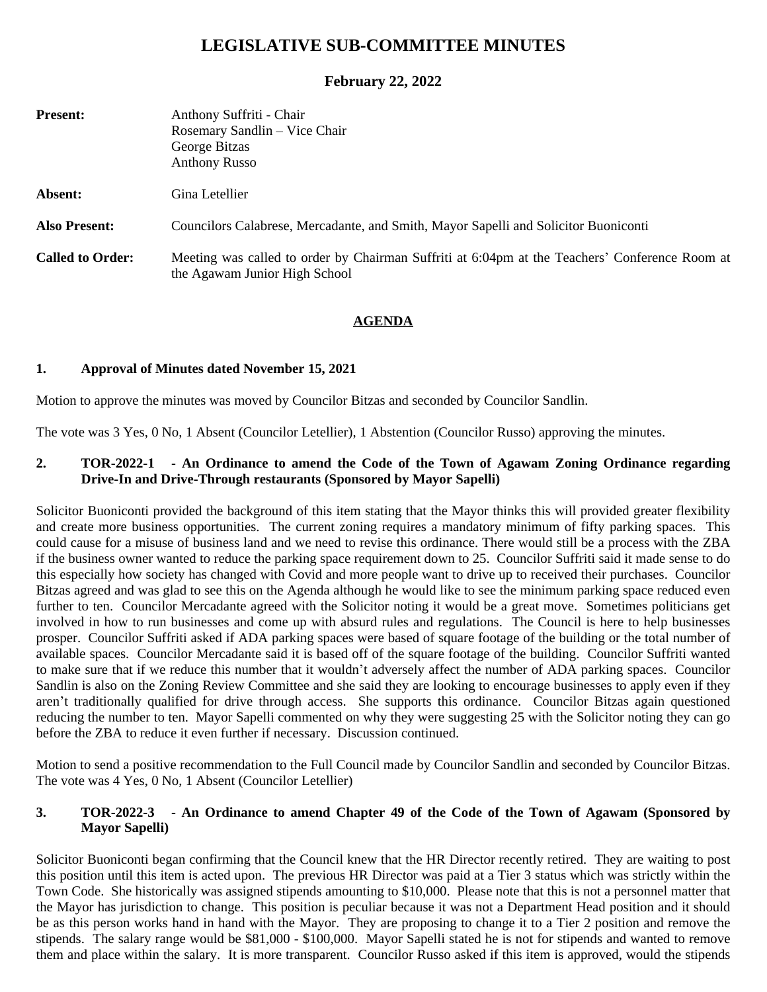# **LEGISLATIVE SUB-COMMITTEE MINUTES**

# **February 22, 2022**

| <b>Present:</b>         | Anthony Suffriti - Chair<br>Rosemary Sandlin - Vice Chair<br>George Bitzas<br><b>Anthony Russo</b>                              |
|-------------------------|---------------------------------------------------------------------------------------------------------------------------------|
| Absent:                 | Gina Letellier                                                                                                                  |
| <b>Also Present:</b>    | Councilors Calabrese, Mercadante, and Smith, Mayor Sapelli and Solicitor Buoniconti                                             |
| <b>Called to Order:</b> | Meeting was called to order by Chairman Suffriti at 6:04pm at the Teachers' Conference Room at<br>the Agawam Junior High School |

# **AGENDA**

# **1. Approval of Minutes dated November 15, 2021**

Motion to approve the minutes was moved by Councilor Bitzas and seconded by Councilor Sandlin.

The vote was 3 Yes, 0 No, 1 Absent (Councilor Letellier), 1 Abstention (Councilor Russo) approving the minutes.

#### **2. TOR-2022-1 - An Ordinance to amend the Code of the Town of Agawam Zoning Ordinance regarding Drive-In and Drive-Through restaurants (Sponsored by Mayor Sapelli)**

Solicitor Buoniconti provided the background of this item stating that the Mayor thinks this will provided greater flexibility and create more business opportunities. The current zoning requires a mandatory minimum of fifty parking spaces. This could cause for a misuse of business land and we need to revise this ordinance. There would still be a process with the ZBA if the business owner wanted to reduce the parking space requirement down to 25. Councilor Suffriti said it made sense to do this especially how society has changed with Covid and more people want to drive up to received their purchases. Councilor Bitzas agreed and was glad to see this on the Agenda although he would like to see the minimum parking space reduced even further to ten. Councilor Mercadante agreed with the Solicitor noting it would be a great move. Sometimes politicians get involved in how to run businesses and come up with absurd rules and regulations. The Council is here to help businesses prosper. Councilor Suffriti asked if ADA parking spaces were based of square footage of the building or the total number of available spaces. Councilor Mercadante said it is based off of the square footage of the building. Councilor Suffriti wanted to make sure that if we reduce this number that it wouldn't adversely affect the number of ADA parking spaces. Councilor Sandlin is also on the Zoning Review Committee and she said they are looking to encourage businesses to apply even if they aren't traditionally qualified for drive through access. She supports this ordinance. Councilor Bitzas again questioned reducing the number to ten. Mayor Sapelli commented on why they were suggesting 25 with the Solicitor noting they can go before the ZBA to reduce it even further if necessary. Discussion continued.

Motion to send a positive recommendation to the Full Council made by Councilor Sandlin and seconded by Councilor Bitzas. The vote was 4 Yes, 0 No, 1 Absent (Councilor Letellier)

# 3. TOR-2022-3 - An Ordinance to amend Chapter 49 of the Code of the Town of Agawam (Sponsored by **Mayor Sapelli)**

Solicitor Buoniconti began confirming that the Council knew that the HR Director recently retired. They are waiting to post this position until this item is acted upon. The previous HR Director was paid at a Tier 3 status which was strictly within the Town Code. She historically was assigned stipends amounting to \$10,000. Please note that this is not a personnel matter that the Mayor has jurisdiction to change. This position is peculiar because it was not a Department Head position and it should be as this person works hand in hand with the Mayor. They are proposing to change it to a Tier 2 position and remove the stipends. The salary range would be \$81,000 - \$100,000. Mayor Sapelli stated he is not for stipends and wanted to remove them and place within the salary. It is more transparent. Councilor Russo asked if this item is approved, would the stipends